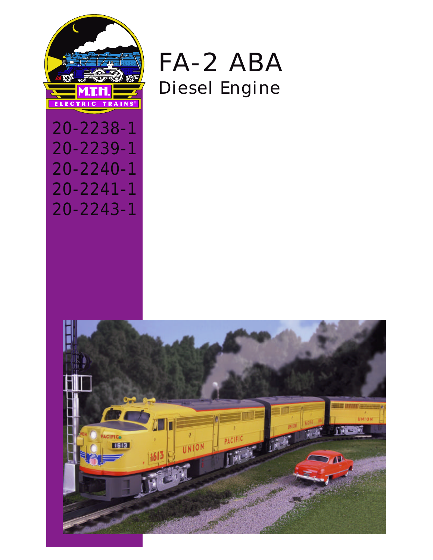

20-2238-1 20-2239-1 20-2240-1 20-2241-1 20-2243-1

# FA-2 ABA Diesel Engine

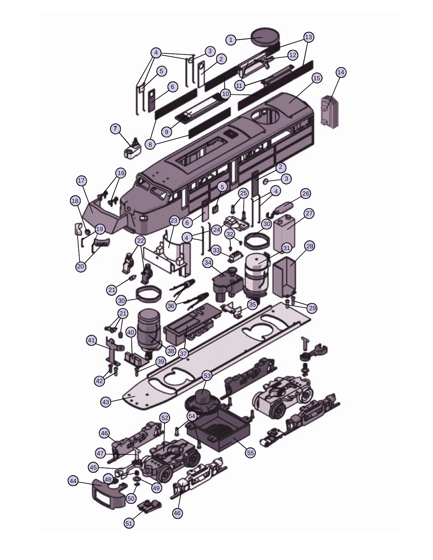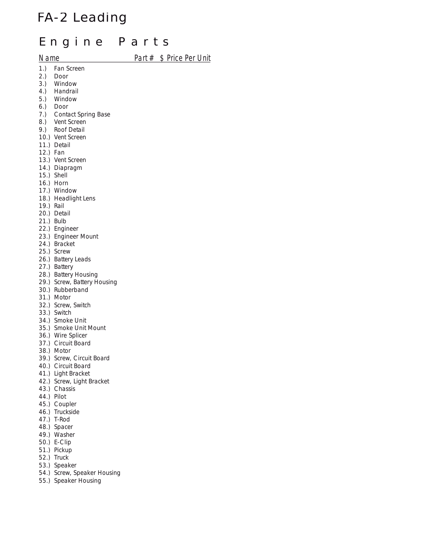# FA-2 Leading

### Engin e Parts

Name Part # \$ Price Per Unit

- 1.) Fan Screen
- 2.) Door
- 3.) Window 4.) Handrail
- 5.) Window
- 6.) Door
- 7.) Contact Spring Base
- 8.) Vent Screen
- 9.) Roof Detail
- 10.) Vent Screen
- 11.) Detail
- 12.) Fan
- 13.) Vent Screen
- 14.) Diapragm
- 15.) Shell
- 16.) Horn
- 17.) Window
- 18.) Headlight Lens
- 19.) Rail
- 20.) Detail
- 21.) Bulb
- 22.) Engineer
- 23.) Engineer Mount
- 24.) Bracket
- 25.) Screw
- 26.) Battery Leads
- 27.) Battery
- 28.) Battery Housing
- 29.) Screw, Battery Housing
- 30.) Rubberband
- 31.) Motor
- 32.) Screw, Switch
- 33.) Switch
- 34.) Smoke Unit
- 35.) Smoke Unit Mount
- 36.) Wire Splicer
- 37.) Circuit Board
- 38.) Motor
- 39.) Screw, Circuit Board
- 40.) Circuit Board
- 41.) Light Bracket
- 42.) Screw, Light Bracket
- 43.) Chassis
- 44.) Pilot
- 45.) Coupler
- 46.) Truckside
- 47.) T-Rod
- 48.) Spacer
- 49.) Washer
- 50.) E-Clip
- 51.) Pickup
- 52.) Truck
- 53.) Speaker
- 54.) Screw, Speaker Housing
- 55.) Speaker Housing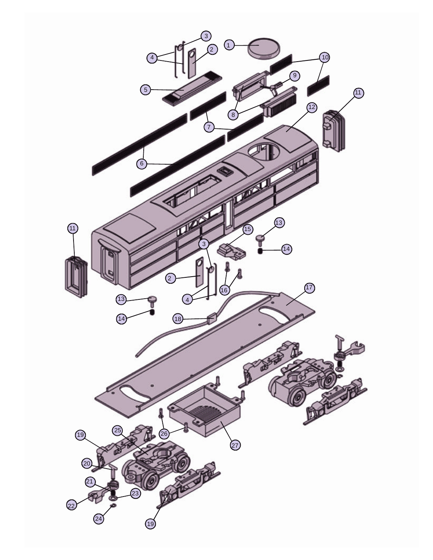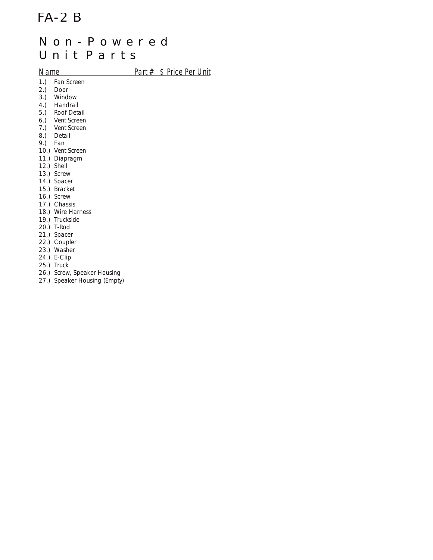# FA-2 B

### Non-Powered Unit Parts

Name Part # \$ Price Per Unit

- 1.) Fan Screen 2.) Door
- 3.) Window
- 4.) Handrail
- 5.) Roof Detail
- 6.) Vent Screen
- 7.) Vent Screen
- 8.) Detail
- 9.) Fan
- 10.) Vent Screen
- 11.) Diapragm
- 12.) Shell
- 13.) Screw
- 14.) Spacer
- 15.) Bracket
- 16.) Screw
- 17.) Chassis
- 18.) Wire Harness
- 19.) Truckside
- 20.) T-Rod
- 21.) Spacer
- 22.) Coupler
- 23.) Washer
- 24.) E-Clip
- 25.) Truck
- 26.) Screw, Speaker Housing
- 27.) Speaker Housing (Empty)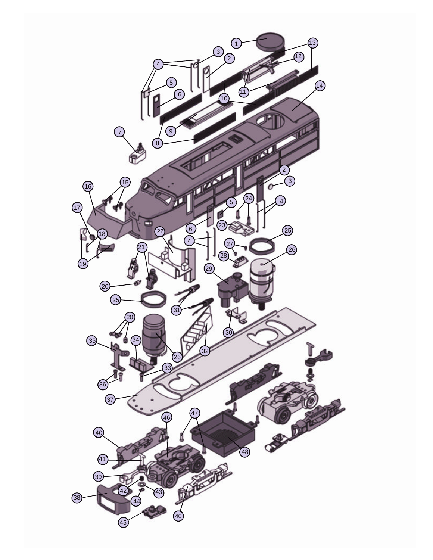